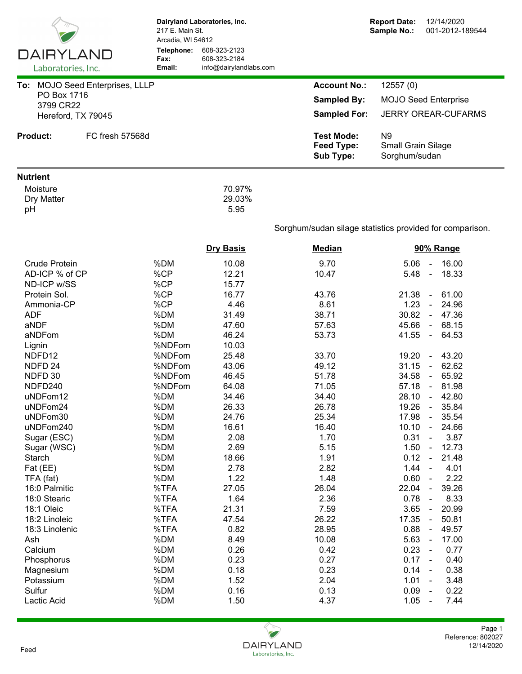|                                 | 217 E. Main St.<br>Arcadia, WI 54612 | Dairyland Laboratories, Inc.                           |                                              | <b>Report Date:</b><br>12/14/2020<br>Sample No.:<br>001-2012-189544 |  |  |  |
|---------------------------------|--------------------------------------|--------------------------------------------------------|----------------------------------------------|---------------------------------------------------------------------|--|--|--|
| DAIRYLAND<br>Laboratories, Inc. | Telephone:<br>Fax:<br>Email:         | 608-323-2123<br>608-323-2184<br>info@dairylandlabs.com |                                              |                                                                     |  |  |  |
| To: MOJO Seed Enterprises, LLLP |                                      |                                                        | <b>Account No.:</b>                          | 12557(0)                                                            |  |  |  |
| PO Box 1716                     |                                      |                                                        | <b>Sampled By:</b>                           | <b>MOJO Seed Enterprise</b>                                         |  |  |  |
| 3799 CR22                       |                                      |                                                        | <b>Sampled For:</b>                          | <b>JERRY OREAR-CUFARMS</b>                                          |  |  |  |
| Hereford, TX 79045              |                                      |                                                        |                                              |                                                                     |  |  |  |
| <b>Product:</b>                 | FC fresh 57568d                      |                                                        | <b>Test Mode:</b><br>Feed Type:<br>Sub Type: | N <sub>9</sub><br>Small Grain Silage<br>Sorghum/sudan               |  |  |  |
| <b>Nutrient</b>                 |                                      |                                                        |                                              |                                                                     |  |  |  |
| Moisture<br>Dry Matter<br>pH    |                                      | 70.97%<br>29.03%<br>5.95                               |                                              |                                                                     |  |  |  |
|                                 |                                      |                                                        |                                              | Sorghum/sudan silage statistics provided for comparison.            |  |  |  |
|                                 |                                      | <b>Dry Basis</b>                                       | <b>Median</b>                                | 90% Range                                                           |  |  |  |
| <b>Crude Protein</b>            | %DM                                  | 10.08                                                  | 9.70                                         | 16.00<br>5.06<br>$\blacksquare$                                     |  |  |  |
| AD-ICP % of CP                  | %CP                                  | 12.21                                                  | 10.47                                        | 18.33<br>5.48<br>$\omega$                                           |  |  |  |
| ND-ICP w/SS                     | %CP                                  | 15.77                                                  |                                              |                                                                     |  |  |  |
| Protein Sol.                    | %CP                                  | 16.77                                                  | 43.76                                        | 21.38<br>61.00<br>$\blacksquare$                                    |  |  |  |
| Ammonia-CP                      | %CP                                  | 4.46                                                   | 8.61                                         | 1.23<br>24.96<br>$\blacksquare$                                     |  |  |  |
| <b>ADF</b>                      | %DM                                  | 31.49                                                  | 38.71                                        | 30.82 - 47.36                                                       |  |  |  |
| aNDF                            | %DM                                  | 47.60                                                  | 57.63                                        | 45.66<br>$-68.15$                                                   |  |  |  |
| aNDFom                          | %DM                                  | 46.24                                                  | 53.73                                        | 41.55<br>64.53<br>$\blacksquare$                                    |  |  |  |
| Lignin                          | %NDFom                               | 10.03                                                  |                                              |                                                                     |  |  |  |
| NDFD12                          | %NDFom                               | 25.48                                                  | 33.70                                        | 43.20<br>19.20<br>$\blacksquare$                                    |  |  |  |
| NDFD <sub>24</sub>              | %NDFom                               | 43.06                                                  | 49.12                                        | 62.62<br>31.15<br>$\omega$                                          |  |  |  |
| NDFD 30                         | %NDFom                               | 46.45                                                  | 51.78                                        | 65.92<br>34.58<br>$\blacksquare$                                    |  |  |  |
| NDFD240                         | %NDFom                               | 64.08                                                  | 71.05                                        | 57.18<br>$-81.98$                                                   |  |  |  |
| uNDFom12                        | %DM                                  | 34.46                                                  | 34.40                                        | 28.10<br>42.80                                                      |  |  |  |
| uNDFom24                        | %DM                                  | 26.33                                                  | 26.78                                        | $\sim$<br>19.26<br>35.84                                            |  |  |  |
| uNDFom30                        | %DM                                  | 24.76                                                  | 25.34                                        | 35.54<br>17.98<br>$\blacksquare$                                    |  |  |  |
| uNDFom240                       | %DM                                  | 16.61                                                  | 16.40                                        | 10.10<br>24.66<br>$\blacksquare$                                    |  |  |  |
| Sugar (ESC)                     | %DM                                  | 2.08                                                   | 1.70                                         | 0.31<br>3.87<br>$\blacksquare$                                      |  |  |  |
| Sugar (WSC)                     | %DM                                  | 2.69                                                   | 5.15                                         | 1.50<br>12.73<br>$\blacksquare$                                     |  |  |  |
| Starch                          | %DM                                  | 18.66                                                  | 1.91                                         | 0.12<br>21.48<br>$\blacksquare$                                     |  |  |  |
| Fat (EE)                        | %DM                                  | 2.78                                                   | 2.82                                         | 1.44<br>4.01<br>$\blacksquare$                                      |  |  |  |
| TFA (fat)                       | %DM                                  | 1.22                                                   | 1.48                                         | 0.60<br>2.22<br>$\blacksquare$                                      |  |  |  |
| 16:0 Palmitic                   | %TFA                                 | 27.05                                                  | 26.04                                        | 39.26<br>22.04<br>$\blacksquare$                                    |  |  |  |
| 18:0 Stearic                    | %TFA                                 | 1.64                                                   | 2.36                                         | 8.33<br>0.78<br>$\blacksquare$                                      |  |  |  |
| 18:1 Oleic                      | %TFA                                 | 21.31                                                  | 7.59                                         | 20.99<br>3.65<br>$\blacksquare$                                     |  |  |  |
| 18:2 Linoleic                   | %TFA                                 | 47.54                                                  | 26.22                                        | 50.81<br>17.35<br>$\blacksquare$                                    |  |  |  |
| 18:3 Linolenic                  | %TFA                                 | 0.82                                                   | 28.95                                        | 0.88<br>49.57<br>$\blacksquare$                                     |  |  |  |
| Ash                             | %DM                                  | 8.49                                                   | 10.08                                        | 5.63<br>17.00<br>$\blacksquare$                                     |  |  |  |
| Calcium                         | %DM                                  | 0.26                                                   | 0.42                                         | 0.23<br>0.77<br>$\blacksquare$                                      |  |  |  |
| Phosphorus                      | %DM                                  | 0.23                                                   | 0.27                                         | 0.17<br>0.40<br>$\sim$                                              |  |  |  |
| Magnesium                       | %DM                                  | 0.18                                                   | 0.23                                         | 0.14<br>0.38<br>$\blacksquare$                                      |  |  |  |
| Potassium                       | %DM                                  | 1.52                                                   | 2.04                                         | 1.01<br>3.48                                                        |  |  |  |
| Sulfur                          | %DM                                  | 0.16                                                   | 0.13                                         | 0.09<br>0.22<br>$\blacksquare$                                      |  |  |  |
| Lactic Acid                     | %DM                                  | 1.50                                                   | 4.37                                         | 1.05<br>7.44<br>$\blacksquare$                                      |  |  |  |
|                                 |                                      |                                                        |                                              |                                                                     |  |  |  |